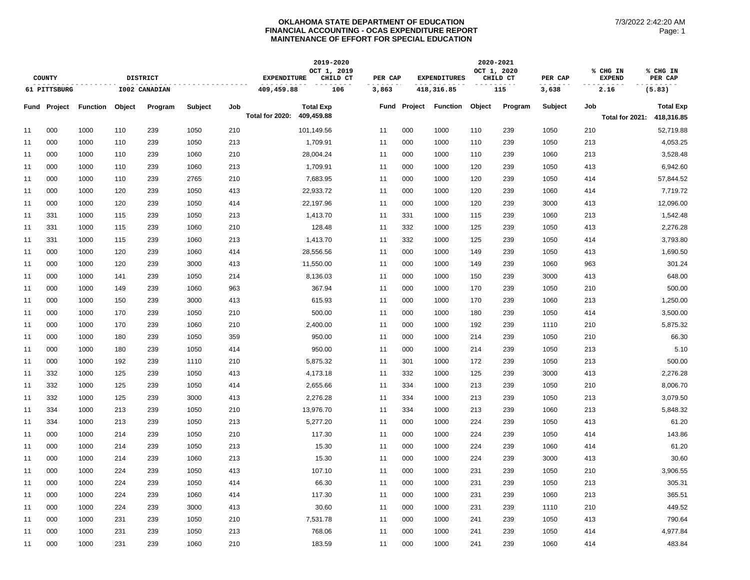## **OKLAHOMA STATE DEPARTMENT OF EDUCATION FINANCIAL ACCOUNTING - OCAS EXPENDITURE REPORT MAINTENANCE OF EFFORT FOR SPECIAL EDUCATION**

|               |                     |                 |               |         |         | 2019-2020                                     |                 |                  |       |                                | 2020-2021       |        |                         |                |     |                            |                     |
|---------------|---------------------|-----------------|---------------|---------|---------|-----------------------------------------------|-----------------|------------------|-------|--------------------------------|-----------------|--------|-------------------------|----------------|-----|----------------------------|---------------------|
| <b>COUNTY</b> |                     | <b>DISTRICT</b> |               |         |         | OCT 1, 2019<br><b>EXPENDITURE</b><br>CHILD CT |                 |                  |       | <b>EXPENDITURES</b><br>PER CAP |                 |        | OCT 1, 2020<br>CHILD CT | PER CAP        |     | % CHG IN<br><b>EXPEND</b>  | % CHG IN<br>PER CAP |
| 61 PITTSBURG  |                     |                 | I002 CANADIAN |         |         | 409,459.88                                    |                 | 106              | 3,863 |                                | 418,316.85      |        | 115                     | 3,638          |     | 2.16                       | (5.83)              |
|               | <b>Fund Project</b> | <b>Function</b> | Object        | Program | Subject | Job                                           |                 | <b>Total Exp</b> | Fund  | Project                        | <b>Function</b> | Object | Program                 | <b>Subject</b> | Job |                            | <b>Total Exp</b>    |
|               |                     |                 |               |         |         |                                               | Total for 2020: | 409,459.88       |       |                                |                 |        |                         |                |     | Total for 2021: 418,316.85 |                     |
| 11            | 000                 | 1000            | 110           | 239     | 1050    | 210                                           |                 | 101,149.56       | 11    | 000                            | 1000            | 110    | 239                     | 1050           | 210 |                            | 52,719.88           |
| 11            | 000                 | 1000            | 110           | 239     | 1050    | 213                                           |                 | 1,709.91         | 11    | 000                            | 1000            | 110    | 239                     | 1050           | 213 |                            | 4,053.25            |
| 11            | 000                 | 1000            | 110           | 239     | 1060    | 210                                           |                 | 28,004.24        | 11    | 000                            | 1000            | 110    | 239                     | 1060           | 213 |                            | 3,528.48            |
| 11            | 000                 | 1000            | 110           | 239     | 1060    | 213                                           |                 | 1,709.91         | 11    | 000                            | 1000            | 120    | 239                     | 1050           | 413 |                            | 6,942.60            |
| 11            | 000                 | 1000            | 110           | 239     | 2765    | 210                                           |                 | 7,683.95         | 11    | 000                            | 1000            | 120    | 239                     | 1050           | 414 |                            | 57,844.52           |
| 11            | 000                 | 1000            | 120           | 239     | 1050    | 413                                           |                 | 22,933.72        | 11    | 000                            | 1000            | 120    | 239                     | 1060           | 414 |                            | 7,719.72            |
| 11            | 000                 | 1000            | 120           | 239     | 1050    | 414                                           |                 | 22,197.96        | 11    | 000                            | 1000            | 120    | 239                     | 3000           | 413 |                            | 12,096.00           |
| 11            | 331                 | 1000            | 115           | 239     | 1050    | 213                                           |                 | 1,413.70         | 11    | 331                            | 1000            | 115    | 239                     | 1060           | 213 |                            | 1,542.48            |
| 11            | 331                 | 1000            | 115           | 239     | 1060    | 210                                           |                 | 128.48           | 11    | 332                            | 1000            | 125    | 239                     | 1050           | 413 |                            | 2,276.28            |
| 11            | 331                 | 1000            | 115           | 239     | 1060    | 213                                           |                 | 1,413.70         | 11    | 332                            | 1000            | 125    | 239                     | 1050           | 414 |                            | 3,793.80            |
| 11            | 000                 | 1000            | 120           | 239     | 1060    | 414                                           |                 | 28,556.56        | 11    | 000                            | 1000            | 149    | 239                     | 1050           | 413 |                            | 1,690.50            |
| 11            | 000                 | 1000            | 120           | 239     | 3000    | 413                                           |                 | 11,550.00        | 11    | 000                            | 1000            | 149    | 239                     | 1060           | 963 |                            | 301.24              |
| 11            | 000                 | 1000            | 141           | 239     | 1050    | 214                                           |                 | 8,136.03         | 11    | 000                            | 1000            | 150    | 239                     | 3000           | 413 |                            | 648.00              |
| 11            | 000                 | 1000            | 149           | 239     | 1060    | 963                                           |                 | 367.94           | 11    | 000                            | 1000            | 170    | 239                     | 1050           | 210 |                            | 500.00              |
| 11            | 000                 | 1000            | 150           | 239     | 3000    | 413                                           |                 | 615.93           | 11    | 000                            | 1000            | 170    | 239                     | 1060           | 213 |                            | 1,250.00            |
| 11            | 000                 | 1000            | 170           | 239     | 1050    | 210                                           |                 | 500.00           | 11    | 000                            | 1000            | 180    | 239                     | 1050           | 414 |                            | 3,500.00            |
| 11            | 000                 | 1000            | 170           | 239     | 1060    | 210                                           |                 | 2,400.00         | 11    | 000                            | 1000            | 192    | 239                     | 1110           | 210 |                            | 5,875.32            |
| 11            | 000                 | 1000            | 180           | 239     | 1050    | 359                                           |                 | 950.00           | 11    | 000                            | 1000            | 214    | 239                     | 1050           | 210 |                            | 66.30               |
| 11            | 000                 | 1000            | 180           | 239     | 1050    | 414                                           |                 | 950.00           | 11    | 000                            | 1000            | 214    | 239                     | 1050           | 213 |                            | 5.10                |
| 11            | 000                 | 1000            | 192           | 239     | 1110    | 210                                           |                 | 5,875.32         | 11    | 301                            | 1000            | 172    | 239                     | 1050           | 213 |                            | 500.00              |
| 11            | 332                 | 1000            | 125           | 239     | 1050    | 413                                           |                 | 4,173.18         | 11    | 332                            | 1000            | 125    | 239                     | 3000           | 413 |                            | 2,276.28            |
| 11            | 332                 | 1000            | 125           | 239     | 1050    | 414                                           |                 | 2,655.66         | 11    | 334                            | 1000            | 213    | 239                     | 1050           | 210 |                            | 8,006.70            |
| 11            | 332                 | 1000            | 125           | 239     | 3000    | 413                                           |                 | 2,276.28         | 11    | 334                            | 1000            | 213    | 239                     | 1050           | 213 |                            | 3,079.50            |
| 11            | 334                 | 1000            | 213           | 239     | 1050    | 210                                           |                 | 13,976.70        | 11    | 334                            | 1000            | 213    | 239                     | 1060           | 213 |                            | 5,848.32            |
| 11            | 334                 | 1000            | 213           | 239     | 1050    | 213                                           |                 | 5,277.20         | 11    | 000                            | 1000            | 224    | 239                     | 1050           | 413 |                            | 61.20               |
| 11            | 000                 | 1000            | 214           | 239     | 1050    | 210                                           |                 | 117.30           | 11    | 000                            | 1000            | 224    | 239                     | 1050           | 414 |                            | 143.86              |
| 11            | 000                 | 1000            | 214           | 239     | 1050    | 213                                           |                 | 15.30            | 11    | 000                            | 1000            | 224    | 239                     | 1060           | 414 |                            | 61.20               |
| 11            | 000                 | 1000            | 214           | 239     | 1060    | 213                                           |                 | 15.30            | 11    | 000                            | 1000            | 224    | 239                     | 3000           | 413 |                            | 30.60               |
| 11            | 000                 | 1000            | 224           | 239     | 1050    | 413                                           |                 | 107.10           | 11    | 000                            | 1000            | 231    | 239                     | 1050           | 210 |                            | 3,906.55            |
| 11            | 000                 | 1000            | 224           | 239     | 1050    | 414                                           |                 | 66.30            | 11    | 000                            | 1000            | 231    | 239                     | 1050           | 213 |                            | 305.31              |
| 11            | 000                 | 1000            | 224           | 239     | 1060    | 414                                           |                 | 117.30           | 11    | 000                            | 1000            | 231    | 239                     | 1060           | 213 |                            | 365.51              |
| 11            | 000                 | 1000            | 224           | 239     | 3000    | 413                                           |                 | 30.60            | 11    | 000                            | 1000            | 231    | 239                     | 1110           | 210 |                            | 449.52              |
| 11            | 000                 | 1000            | 231           | 239     | 1050    | 210                                           |                 | 7,531.78         | 11    | 000                            | 1000            | 241    | 239                     | 1050           | 413 |                            | 790.64              |
| 11            | 000                 | 1000            | 231           | 239     | 1050    | 213                                           |                 | 768.06           | 11    | 000                            | 1000            | 241    | 239                     | 1050           | 414 |                            | 4,977.84            |
| 11            | 000                 | 1000            | 231           | 239     | 1060    | 210                                           |                 | 183.59           | 11    | 000                            | 1000            | 241    | 239                     | 1060           | 414 |                            | 483.84              |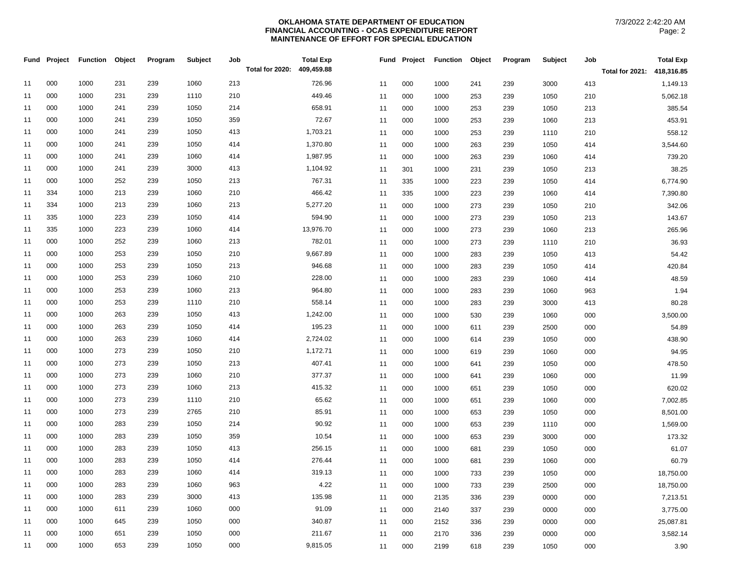## **OKLAHOMA STATE DEPARTMENT OF EDUCATION FINANCIAL ACCOUNTING - OCAS EXPENDITURE REPORT MAINTENANCE OF EFFORT FOR SPECIAL EDUCATION**

|    | Fund Project | <b>Function Object</b> |     | Program | Subject | Job<br>Total for 2020: | <b>Total Exp</b><br>409,459.88 |    |     | Fund Project Function Object |     | Program | Subject | Job | <b>Total Exp</b>           |
|----|--------------|------------------------|-----|---------|---------|------------------------|--------------------------------|----|-----|------------------------------|-----|---------|---------|-----|----------------------------|
|    |              |                        |     |         |         |                        |                                |    |     |                              |     |         |         |     | Total for 2021: 418,316.85 |
| 11 | 000          | 1000                   | 231 | 239     | 1060    | 213                    | 726.96                         | 11 | 000 | 1000                         | 241 | 239     | 3000    | 413 | 1,149.13                   |
| 11 | 000          | 1000                   | 231 | 239     | 1110    | 210                    | 449.46                         | 11 | 000 | 1000                         | 253 | 239     | 1050    | 210 | 5,062.18                   |
| 11 | 000          | 1000                   | 241 | 239     | 1050    | 214                    | 658.91                         | 11 | 000 | 1000                         | 253 | 239     | 1050    | 213 | 385.54                     |
| 11 | 000          | 1000                   | 241 | 239     | 1050    | 359                    | 72.67                          | 11 | 000 | 1000                         | 253 | 239     | 1060    | 213 | 453.91                     |
| 11 | 000          | 1000                   | 241 | 239     | 1050    | 413                    | 1,703.21                       | 11 | 000 | 1000                         | 253 | 239     | 1110    | 210 | 558.12                     |
| 11 | 000          | 1000                   | 241 | 239     | 1050    | 414                    | 1,370.80                       | 11 | 000 | 1000                         | 263 | 239     | 1050    | 414 | 3,544.60                   |
| 11 | 000          | 1000                   | 241 | 239     | 1060    | 414                    | 1,987.95                       | 11 | 000 | 1000                         | 263 | 239     | 1060    | 414 | 739.20                     |
| 11 | 000          | 1000                   | 241 | 239     | 3000    | 413                    | 1,104.92                       | 11 | 301 | 1000                         | 231 | 239     | 1050    | 213 | 38.25                      |
| 11 | 000          | 1000                   | 252 | 239     | 1050    | 213                    | 767.31                         | 11 | 335 | 1000                         | 223 | 239     | 1050    | 414 | 6,774.90                   |
| 11 | 334          | 1000                   | 213 | 239     | 1060    | 210                    | 466.42                         | 11 | 335 | 1000                         | 223 | 239     | 1060    | 414 | 7,390.80                   |
| 11 | 334          | 1000                   | 213 | 239     | 1060    | 213                    | 5,277.20                       | 11 | 000 | 1000                         | 273 | 239     | 1050    | 210 | 342.06                     |
| 11 | 335          | 1000                   | 223 | 239     | 1050    | 414                    | 594.90                         | 11 | 000 | 1000                         | 273 | 239     | 1050    | 213 | 143.67                     |
| 11 | 335          | 1000                   | 223 | 239     | 1060    | 414                    | 13,976.70                      | 11 | 000 | 1000                         | 273 | 239     | 1060    | 213 | 265.96                     |
| 11 | 000          | 1000                   | 252 | 239     | 1060    | 213                    | 782.01                         | 11 | 000 | 1000                         | 273 | 239     | 1110    | 210 | 36.93                      |
| 11 | 000          | 1000                   | 253 | 239     | 1050    | 210                    | 9,667.89                       | 11 | 000 | 1000                         | 283 | 239     | 1050    | 413 | 54.42                      |
| 11 | 000          | 1000                   | 253 | 239     | 1050    | 213                    | 946.68                         | 11 | 000 | 1000                         | 283 | 239     | 1050    | 414 | 420.84                     |
| 11 | 000          | 1000                   | 253 | 239     | 1060    | 210                    | 228.00                         | 11 | 000 | 1000                         | 283 | 239     | 1060    | 414 | 48.59                      |
| 11 | 000          | 1000                   | 253 | 239     | 1060    | 213                    | 964.80                         | 11 | 000 | 1000                         | 283 | 239     | 1060    | 963 | 1.94                       |
| 11 | 000          | 1000                   | 253 | 239     | 1110    | 210                    | 558.14                         | 11 | 000 | 1000                         | 283 | 239     | 3000    | 413 | 80.28                      |
| 11 | 000          | 1000                   | 263 | 239     | 1050    | 413                    | 1,242.00                       | 11 | 000 | 1000                         | 530 | 239     | 1060    | 000 | 3,500.00                   |
| 11 | 000          | 1000                   | 263 | 239     | 1050    | 414                    | 195.23                         | 11 | 000 | 1000                         | 611 | 239     | 2500    | 000 | 54.89                      |
| 11 | 000          | 1000                   | 263 | 239     | 1060    | 414                    | 2,724.02                       | 11 | 000 | 1000                         | 614 | 239     | 1050    | 000 | 438.90                     |
| 11 | 000          | 1000                   | 273 | 239     | 1050    | 210                    | 1,172.71                       | 11 | 000 | 1000                         | 619 | 239     | 1060    | 000 | 94.95                      |
| 11 | 000          | 1000                   | 273 | 239     | 1050    | 213                    | 407.41                         | 11 | 000 | 1000                         | 641 | 239     | 1050    | 000 | 478.50                     |
| 11 | 000          | 1000                   | 273 | 239     | 1060    | 210                    | 377.37                         | 11 | 000 | 1000                         | 641 | 239     | 1060    | 000 | 11.99                      |
| 11 | 000          | 1000                   | 273 | 239     | 1060    | 213                    | 415.32                         | 11 | 000 | 1000                         | 651 | 239     | 1050    | 000 | 620.02                     |
| 11 | 000          | 1000                   | 273 | 239     | 1110    | 210                    | 65.62                          | 11 | 000 | 1000                         | 651 | 239     | 1060    | 000 | 7,002.85                   |
| 11 | 000          | 1000                   | 273 | 239     | 2765    | 210                    | 85.91                          | 11 | 000 | 1000                         | 653 | 239     | 1050    | 000 | 8,501.00                   |
| 11 | 000          | 1000                   | 283 | 239     | 1050    | 214                    | 90.92                          | 11 | 000 | 1000                         | 653 | 239     | 1110    | 000 | 1,569.00                   |
| 11 | 000          | 1000                   | 283 | 239     | 1050    | 359                    | 10.54                          | 11 | 000 | 1000                         | 653 | 239     | 3000    | 000 | 173.32                     |
| 11 | 000          | 1000                   | 283 | 239     | 1050    | 413                    | 256.15                         | 11 | 000 | 1000                         | 681 | 239     | 1050    | 000 | 61.07                      |
| 11 | 000          | 1000                   | 283 | 239     | 1050    | 414                    | 276.44                         | 11 | 000 | 1000                         | 681 | 239     | 1060    | 000 | 60.79                      |
| 11 | 000          | 1000                   | 283 | 239     | 1060    | 414                    | 319.13                         | 11 | 000 | 1000                         | 733 | 239     | 1050    | 000 | 18,750.00                  |
| 11 | 000          | 1000                   | 283 | 239     | 1060    | 963                    | 4.22                           | 11 | 000 | 1000                         | 733 | 239     | 2500    | 000 | 18,750.00                  |
| 11 | 000          | 1000                   | 283 | 239     | 3000    | 413                    | 135.98                         | 11 | 000 | 2135                         | 336 | 239     | 0000    | 000 | 7,213.51                   |
| 11 | 000          | 1000                   | 611 | 239     | 1060    | 000                    | 91.09                          | 11 | 000 | 2140                         | 337 | 239     | 0000    | 000 | 3,775.00                   |
| 11 | 000          | 1000                   | 645 | 239     | 1050    | 000                    | 340.87                         | 11 | 000 | 2152                         | 336 | 239     | 0000    | 000 | 25,087.81                  |
| 11 | 000          | 1000                   | 651 | 239     | 1050    | 000                    | 211.67                         | 11 | 000 | 2170                         | 336 | 239     | 0000    | 000 | 3,582.14                   |
| 11 | 000          | 1000                   | 653 | 239     | 1050    | 000                    | 9,815.05                       | 11 | 000 | 2199                         | 618 | 239     | 1050    | 000 | 3.90                       |